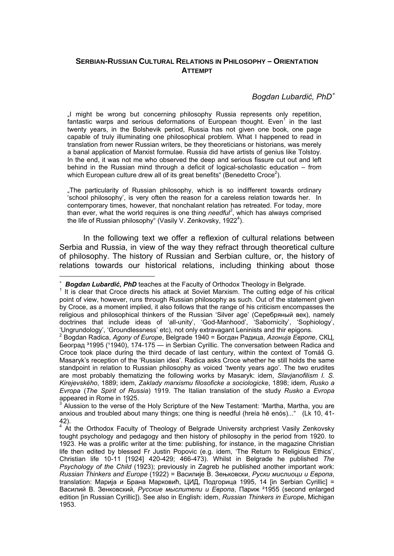## **SERBIAN-RUSSIAN CULTURAL RELATIONS IN PHILOSOPHY – ORIENTATION ATTEMPT**

## *Bogdan Lubardić, PhD*<sup>∗</sup>

"I might be wrong but concerning philosophy Russia represents only repetition, fantastic warps and serious deformations of European thought. Even<sup>1</sup> in the last twenty years, in the Bolshevik period, Russia has not given one book, one page capable of truly illuminating one philosophical problem. What I happened to read in translation from newer Russian writers, be they theoreticians or historians, was merely a banal application of Marxist formulae. Russia did have artists of genius like Tolstoy. In the end, it was not me who observed the deep and serious fissure cut out and left behind in the Russian mind through a deficit of logical-scholastic education – from which European culture drew all of its great benefits" (Benedetto Croce<sup>2</sup>).

"The particularity of Russian philosophy, which is so indifferent towards ordinary 'school philosophy', is very often the reason for a careless relation towards her. In contemporary times, however, that nonchalant relation has retreated. For today, more than ever, what the world requires is one thing *needful<sup>3</sup>* , which has always comprised the life of Russian philosophy" (Vasily V. Zenkovsky, 1922<sup>4</sup>).

In the following text we offer a reflexion of cultural relations between Serbia and Russia, in view of the way they refract through theoretical culture of philosophy. The history of Russian and Serbian culture, or, the history of relations towards our historical relations, including thinking about those

 $\overline{a}$ 

appeared in Rome in 1925.<br><sup>3</sup> Alussion to the verse of the Holy Scripture of the New Testament: 'Martha, Martha, you are anxious and troubled about many things; one thing is needful (hreía hē enós)..." (Lk 10, 41- 42).

<sup>∗</sup> *Bogdan Lubardić, PhD* teaches at the Faculty of Orthodox Theology in Belgrade. <sup>1</sup>

 $1$  It is clear that Croce directs his attack at Soviet Marxism. The cutting edge of his critical point of view, however, runs through Russian philosophy as such. Out of the statement given by Croce, as a moment implied, it also follows that the range of his criticism encompasses the religious and philosophical thinkers of the Russian 'Silver age' (Серебряный век), namely doctrines that include ideas of 'all-unity', 'God-Manhood', 'Sabornicity', 'Sophiology', 'Ungrundology', 'Groundlessness' etc), not only extravagant Leninists and thir epigons.<br><sup>2</sup> Beaden Redise, Ageny of Europe, Relaxede 1949 – Fernau Renuus, Agewie Fenerg

Bogdan Radica, *Agony of Europe*, Belgrade 1940 = Богдан Радица, *Агонија Европе*, СКЦ, Београд 31995 (11940), 174-175 — in Serbian Cyrillic. The conversation between Radica and Croce took place during the third decade of last century, within the context of Tomáš G. Masaryk's reception of the 'Russian idea'. Radica asks Croce whether he still holds the same standpoint in relation to Russian philosophy as voiced 'twenty years ago'. The two erudites are most probably thematizing the following works by Masaryk: idem, *Slavjanofilism I. S. Kirejevského*, 1889; idem, *Zaklady marxismu filosoficke a sociologicke*, 1898; idem, *Rusko a Evropa* (*The Spirit of Russia*) 1919. The Italian translation of the study *Rusko a Evropa*

<sup>&</sup>lt;sup>4</sup> At the Orthodox Faculty of Theology of Belgrade University archpriest Vasily Zenkovsky tought psychology and pedagogy and then history of philosophy in the period from 1920. to 1923. He was a prolific writer at the time: publishing, for instance, in the magazine Christian life then edited by blessed Fr Justin Popovic (e.g. idem, 'The Return to Religious Ethics', Christian life 10-11 [1924] 420-429; 466-473). Whilst in Belgrade he published *The Psychology of the Child* (1923); previously in Zagreb he published another important work: *Russian Thinkers and Europe* (1922) = Василије В. Зењковски, *Руски мислиоци и Европа*, translation: Мaрија и Брана Марковић, ЦИД, Подгорица 1995, 14 [in Serbian Cyrillic] = Василий В. Зенковский, *Русские мыслители и Европа*, Париж ²1955 (second enlarged edition [in Russian Cyrillic]). See also in English: idem, *Russian Thinkers in Europe*, Michigan 1953.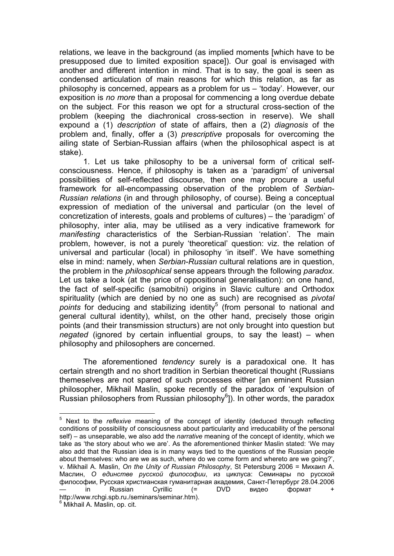relations, we leave in the background (as implied moments [which have to be presupposed due to limited exposition space]). Our goal is envisaged with another and different intention in mind. That is to say, the goal is seen as condensed articulation of main reasons for which this relation, as far as philosophy is concerned, appears as a problem for us – 'today'. However, our exposition is *no more* than a proposal for commencing a long overdue debate on the subject. For this reason we opt for a structural cross-section of the problem (keeping the diachronical cross-section in reserve). We shall expound a (1) *description* of state of affairs, then a (2) *diagnosis* of the problem and, finally, offer a (3) *prescriptive* proposals for overcoming the ailing state of Serbian-Russian affairs (when the philosophical aspect is at stake).

1. Let us take philosophy to be a universal form of critical selfconsciousness. Hence, if philosophy is taken as a 'paradigm' of universal possibilities of self-reflected discourse, then one may procure a useful framework for all-encompassing observation of the problem of *Serbian-Russian relations* (in and through philosophy, of course). Being a conceptual expression of mediation of the universal and particular (on the level of concretization of interests, goals and problems of cultures) – the 'paradigm' of philosophy, inter alia, may be utilised as a very indicative framework for *manifesting* characteristics of the Serbian-Russian 'relation'. The main problem, however, is not a purely 'theoretical' question: viz. the relation of universal and particular (local) in philosophy 'in itself'. We have something else in mind: namely, when *Serbian-Russian* cultural relations are in question, the problem in the *philosophical* sense appears through the following *paradox.* Let us take a look (at the price of oppositional generalisation): on one hand, the fact of self-specific (samobitni) origins in Slavic culture and Orthodox spirituality (which are denied by no one as such) are recognised as *pivotal*  points for deducing and stabilizing identity<sup>5</sup> (from personal to national and general cultural identity), whilst, on the other hand, precisely those origin points (and their transmission structurs) are not only brought into question but *negated* (ignored by certain influential groups, to say the least) – when philosophy and philosophers are concerned.

The aforementioned *tendency* surely is a paradoxical one. It has certain strength and no short tradition in Serbian theoretical thought (Russians themeselves are not spared of such processes either [an eminent Russian philosopher, Mikhail Maslin, spoke recently of the paradox of 'expulsion of Russian philosophers from Russian philosophy<sup>6</sup>]). In other words, the paradox

 5 Next to the *reflexive* meaning of the concept of identity (deduced through reflecting conditions of possibility of consciousness about particularity and irreducability of the personal self) – as unseparable, we also add the *narrative* meaning of the concept of identity, which we take as 'the story about who we are'. As the aforementioned thinker Maslin stated: 'We may also add that the Russian idea is in many ways tied to the questions of the Russian people about themselves: who are we as such, where do we come form and whereto are we going?', v. Mikhail A. Maslin, *On the Unity of Russian Philosophy*, St Petersburg 2006 = Михаил А. Маслин, *О единстве русской философии*, из циклуса: Семинары по русской философии, Русская христианская гуманитарная академия, Санкт-Петербург 28.04.2006 — in Russian Cyrillic (= DVD видео формат + http://www.rchgi.spb.ru./seminars/seminar.htm). 6 Mikhail A. Maslin, op. cit.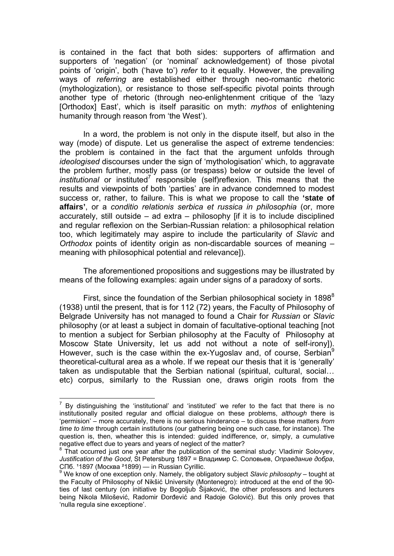is contained in the fact that both sides: supporters of affirmation and supporters of 'negation' (or 'nominal' acknowledgеment) of those pivotal points of 'origin', both ('have to') *refer* to it equally. However, the prevailing ways of *referring* are established either through neo-romantic rhetoric (mythologization), or resistance to those self-specific pivotal points through another type of rhetoric (through neo-enlightenment critique of the 'lazy [Orthodox] East', which is itself parasitic on myth: *mythos* of enlightening humanity through reason from 'the West').

In a word, the problem is not only in the dispute itself, but also in the way (mode) of dispute. Let us generalise the aspect of extreme tendencies: the problem is contained in the fact that the argument unfolds through *ideologised* discourses under the sign of 'mythologisation' which, to aggravate the problem further, mostly pass (or trespass) below or outside the level of *institutional* or instituted<sup>7</sup> responsible (self)reflexion. This means that the results and viewpoints of both 'parties' are in advance condemned to modest success or, rather, to failure. This is what we propose to call the **'state of affairs'**, or a *conditio relationis serbica et russica in philosophia* (or, more accurately, still outside – ad extra – philosophy [if it is to include disciplined and regular reflexion on the Serbian-Russian relation: a philosophical relation too, which legitimately may aspire to include the particularity of *Slavic* and *Orthodox* points of identity origin as non-discardable sources of meaning – meaning with philosophical potential and relevance]).

The aforementioned propositions and suggestions may be illustrated by means of the following examples: again under signs of а paradoxy of sorts.

First, since the foundation of the Serbian philosophical society in  $1898^8$ (1938) until the present, that is for 112 (72) years, the Faculty of Philosophy of Belgrade University has not managed to found a Chair for *Russian* or *Slavic* philosophy (or at least a subject in domain of facultative-optional teaching [not to mention a subject for Serbian philosophy at the Faculty of Philosophy at Moscow State University, let us add not without a note of self-irony]). However, such is the case within the ex-Yugoslav and, of course, Serbian<sup>9</sup> theoretical-cultural area as a whole. If we repeat our thesis that it is 'generally' taken as undisputable that the Serbian national (spiritual, cultural, social… etc) corpus, similarly to the Russian one, draws origin roots from the

THE THE TRIM THE TRIM THE TRIM THE TRIM THE TRIM THE TRIM THE TRIM THE TRIM THE TRIM THE TRIM THE TRIM THE TRI<br>THE TRIM THE TRIM THE TRIM THE TRIM THE TRIM THE TRIM THE TRIM THE TRIM THE TRIM THE TRIM THE TRIM THE TRIM TH institutionally posited regular and official dialogue on these problems, *although* there is 'permision' – more accurately, there is no serious hinderance – to discuss these matters *from time to time* through certain institutions (our gathering being one such case, for instance). The question is, then, wheather this is intended: guided indifference, or, simply, a cumulative negative effect due to years and years of neglect of the matter?

<sup>&</sup>lt;sup>8</sup> That occurred just one year after the publication of the seminal study: Vladimir Solovyev, *Justification of the Good*, St Petersburg 1897 = Владимир С. Соловьев, *Оправдание добра*, СПб. 11897 (Москва <sup>2</sup>1899) — in Russian Cyrillic.

<sup>&</sup>lt;sup>9</sup> We know of one exception only. Namely, the obligatory subject Slavic philosophy – tought at the Faculty of Philosophy of Nikšić University (Montenegro): introduced at the end of the 90 ties of last century (on initiative by Bogoljub Šijaković, the other professors and lecturers being Nikola Milošević, Radomir Đorđević and Radoje Golović). But this only proves that 'nulla regula sine exceptione'.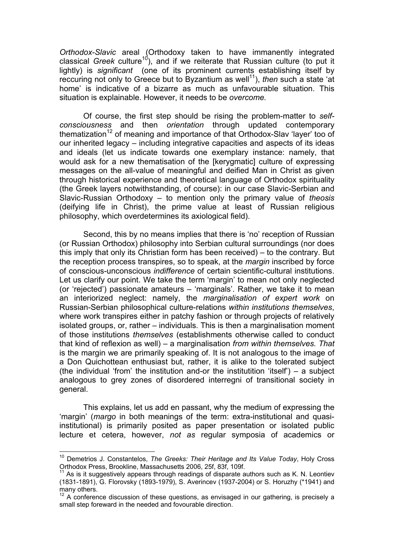*Orthodox-Slavic* areal (Orthodoxy taken to have immanently integrated classical *Greek* culture<sup>10</sup>), and if we reiterate that Russian culture (to put it lightly) is *significant* (one of its prominent currents establishing itself by reccuring not only to Greece but to Byzantium as well<sup>11</sup>), *then* such a state 'at home' is indicative of a bizarre as much as unfavourable situation. This situation is explainable. However, it needs to be *overcome.*

Of course, the first step should be rising the problem-matter to *selfconsciousness* and then *orientation* through updated contemporary thematization<sup>12</sup> of meaning and importance of that Orthodox-Slay 'layer' too of our inherited legacy – including integrative capacities and aspects of its ideas and ideals (let us indicate towards one exemplary instance: namely, that would ask for a new thematisation of the [kerygmatic] culture of expressing messages on the all-value of meaningful and deified Man in Christ as given through historical experience and theoretical language of Orthodox spirituality (the Greek layers notwithstanding, of course): in our case Slavic-Serbian and Slavic-Russian Orthodoxy – to mention only the primary value of *theosis*  (deifying life in Christ), the prime value at least of Russian religious philosophy, which overdetermines its axiological field).

Second, this by no means implies that there is 'no' reception of Russian (or Russian Orthodox) philosophy into Serbian cultural surroundings (nor does this imply that only its Christian form has been received) – to the contrary. But the reception process transpires, so to speak, at the *margin* inscribed by force of conscious-unconscious *indifference* of certain scientific-cultural institutions. Let us clarify our point. We take the term 'margin' to mean not only neglected (or 'rejected') passionate amateurs – 'marginals'. Rather, we take it to mean an interiorized neglect: namely, the *marginalisation of expert work* on Russian-Serbian philosophical culture-relations *within institutions themselves*, where work transpires either in patchy fashion or through projects of relatively isolated groups, or, rather – individuals. This is then a marginalisation moment of those institutions *themselves* (establishments otherwise called to conduct that kind of reflexion as well) – a marginalisation *from within themselves. Тhat* is the margin we are primarily speaking of. It is not analogous to the image of a Don Quichottean enthusiast but, rather, it is alike to the tolerated subject (the individual 'from' the institution and-or the institutition 'itself') – a subject analogous to grey zones of disordered interregni of transitional society in general.

This explains, let us add en passant, why the medium of expressing the 'margin' (*margo* in both meanings of the term: extra-institutional and quasiinstitutional) is primarily posited as paper presentation or isolated public lecture et cetera, however, *not as* regular symposia of academics or

<sup>10</sup> Demetrios J. Constantelos, *The Greeks: Their Heritage and Its Value Today*, Holy Cross Orthodox Press, Brookline, Massachusetts 2006, 25f, 83f, 109f.

 $11$  As is it suggestively appears through readings of disparate authors such as K. N. Leontiev (1831-1891), G. Florovsky (1893-1979), S. Averincev (1937-2004) or S. Horuzhy (\*1941) and many others.

<sup>&</sup>lt;sup>12</sup> A conference discussion of these questions, as envisaged in our gathering, is precisely a small step foreward in the needed and fovourable direction.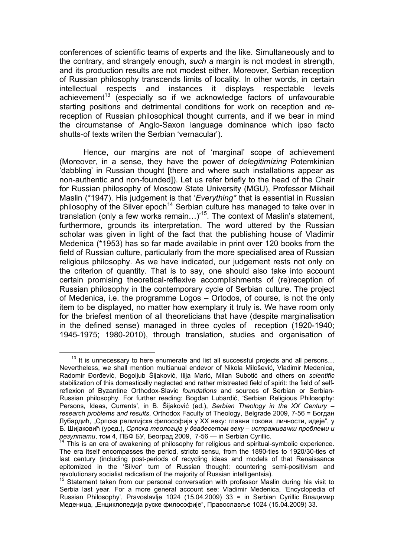conferences of scientific teams of experts and the like. Simultaneously and to the contrary, and strangely enough, *such a* margin is not modest in strength, and its production results are not modest either. Moreover, Serbian reception of Russian philosophy transcends limits of locality. In other words, in certain intellectual respects and instances it displays respectable levels achievement<sup>13</sup> (especially so if we acknowledge factors of unfavourable starting positions and detrimental conditions for work on reception and *re*reception of Russian philosophical thought currents, and if we bear in mind the circumstanse of Anglo-Saxon language dominance which ipso facto shutts-of texts writen the Serbian 'vernacular').

Hence, our margins are not оf 'marginal' scope of achievement (Moreover, in a sense, they have the power of *delegitimizing* Potemkinian 'dabbling' in Russian thought [there and where such installations appear as non-authentic and non-founded]). Let us refer briefly to the head of the Chair for Russian philosophy of Moscow State University (МGU), Professor Mikhail Maslin (\*1947). His judgement is that '*Everything\** that is essential in Russian philosophy of the Silver epoch<sup>14</sup> Serbian culture has managed to take over in translation (only a few works remain…)'15. The context of Maslin's statement, furthermore, grounds its interpretation. The word uttered by the Russian scholar was given in light of the fact that the publishing house of Vladimir Medenica (\*1953) has so far made available in print over 120 books from the field of Russian culture, particularly from the more specialised area of Russian religious philosophy. As we have indicated, our judgement rests not only on the criterion of quantity. That is to say, one should also take into account certain promising theoretical-reflexive accomplishments of (re)reception of Russian philosophy in the contemporary cycle of Serbian culture. The project of Medenica, i.e. the programme Logos – Ortodos, of course, is not the only item to be displayed, no matter how exemplary it truly is. We have room only for the briefest mention of all theoreticians that have (despite marginalisation in the defined sense) managed in three cycles of reception (1920-1940; 1945-1975; 1980-2010), through translation, studies and organisation of

 $13$  It is unnecessary to here enumerate and list all successful projects and all persons... Nevertheless, we shall mention multianual endevor of Nikola Milošević, Vladimir Medenica, Radomir Đorđević, Bogoljub Šijaković, Ilija Marić, Milan Subotić and others on *scientific* stabilization of this domestically neglected and rather mistreated field of spirit: the field of selfreflexion of Byzantine Orthodox-Slavic *foundations* and sources of Serbian or Serbian-Russian philosophy. For further reading: Bogdan Lubardić, 'Serbian Religious Philosophy: Persons, Ideas, Currents', in B. Šijaković (ed.), *Serbian Theology in the XX Century* – *research problems and results*, Orthodox Faculty of Theology, Belgrade 2009, 7-56 = Богдан Лубардић, "Српска религијска философија у XX веку: главни токови, личности, идеје", у Б. Шијаковић (уред.), *Српска теологија у двадесетом веку* – *истраживачки проблеми и резултати*, том 4, ПБФ БУ, Београд 2009, 7-56 — in Serbian Cyrillic. 14 This is an era of awakening of philosophy for religious and spiritual-symbolic experience.

The era itself encompasses the period, stricto sensu, from the 1890-ties to 1920/30-ties of last century (including post-periods of recycling ideas and models of that Renaissance epitomized in the 'Silver' turn of Russian thought: countering semi-positivism and revolutionary socialist radicalism of the majority of Russian intelligentsia).

 $15$  Statement taken from our personal conversation with professor Maslin during his visit to Serbia last year. For a more general account see: Vladimir Medenica, 'Encyclopedia of Russian Philosophy', Pravoslavlje 1024 (15.04.2009) 33 = in Serbian Cyrillic Владимир Меденица, "Енциклопедија руске философије", Православље 1024 (15.04.2009) 33.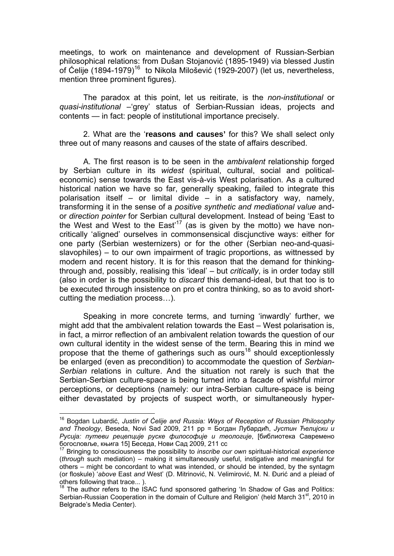meetings, to work on maintenance and development of Russian-Serbian philosophical relations: from Dušan Stojanović (1895-1949) via blessed Justin of Ćelije (1894-1979)<sup>16</sup> to Nikola Milošević (1929-2007) (let us, nevertheless, mention three prominent figures).

The paradox at this point, let us reitirate, is the *non-institutional* or *quasi-institutional* –'grey' status of Serbian-Russian ideas, projects and contents — in fact: people of institutional importance precisely.

2. What are the '**reasons and causes'** for this? We shall select only three out of many reasons and causes of the state of affairs described.

А. The first reason is to be seen in the *ambivalent* relationship forged by Serbian culture in its *widest* (spiritual, cultural, social and politicaleconomic) sense towards the East vis-à-vis West polarisation. As a cultured historical nation we have so far, generally speaking, failed to integrate this polarisation itself – or limital divide – in a satisfactory way, namely, transforming it in the sense of a *positive synthetic and mediational value* andor *direction pointer* for Serbian cultural development. Instead of being 'East to the West and West to the East<sup>17</sup> (as is given by the motto) we have noncritically 'aligned' ourselves in commonsensical discjunctive ways: either for one party (Serbian westernizers) or for the other (Serbian neo-and-quasislavophiles) – to our own impairment of tragic proportions, as wittnessed by modern and recent history. It is for this reason that the demand for thinkingthrough and, possibly, realising this 'ideal' – but *critically*, is in order today still (also in order is the possibility to *discard* this demand-ideal, but that too is to be executed through insistence on pro et contra thinking, so as to avoid shortcutting the mediation process…).

Speaking in more concrete terms, and turning 'inwardly' further, we might add that the ambivalent relation towards the East – West polarisation is, in fact, a mirror reflection of an ambivalent relation towards the question of our own cultural identity in the widest sense of the term. Bearing this in mind we propose that the theme of gatherings such as ours<sup>18</sup> should exceptionlessly be enlarged (even as precondition) to accommodate the question of *Serbian-Serbian* relations in culture. And the situation not rarely is such that the Serbian-Serbian culture-space is being turned into a facade of wishful mirror perceptions, or deceptions (namely: our intra-Serbian culture-space is being either devastated by projects of suspect worth, or simultaneously hyper-

<sup>16</sup> Bogdan Lubardić, *Justin of Ćelije and Russia: Ways of Reception of Russian Philosophy and Theology*, Beseda, Novi Sad 2009, 211 pp = Богдан Лубардић, *Јустин Ћелијски и Русија: путеви рецепције руске философије и теологије*, [библиотека Савремено богословље, књига 15] Беседа, Нови Сад 2009, 211 сс

<sup>17</sup> Bringing to consciousness the possibility to *inscribe our own* spiritual-historical *experience* (*through* such mediation) – making it simultaneously useful, instigative and meaningful for others – might be concordant to what was intended, or should be intended, by the syntagm (or floskule) '*above* East *and* West' (D. Mitrinović, N. Velimirović, M. N. Đurić and a pleiad of others following that trace... ).

<sup>&</sup>lt;sup>18</sup> The author refers to the ISAC fund sponsored gathering 'In Shadow of Gas and Politics: Serbian-Russian Cooperation in the domain of Culture and Religion' (held March 31<sup>st</sup>, 2010 in Belgrade's Media Center).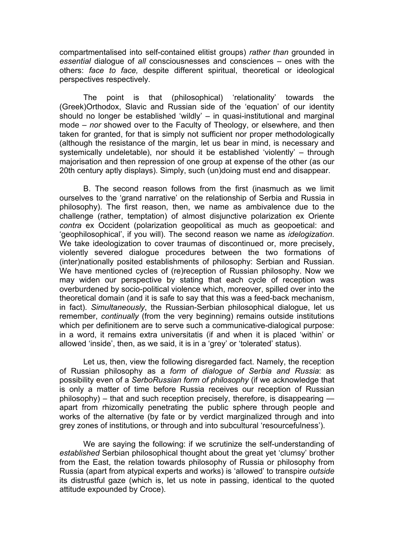compartmentalised into self-contained elitist groups) *rather than* grounded in *essential* dialogue of *all* consciousnesses and consciences – ones with the others: *face to face,* despite different spiritual, theoretical or ideological perspectives respectively.

The point is that (philosophical) 'relationality' towards the (Greek)Orthodox, Slavic and Russian side of the 'equation' of our identity should no longer be established 'wildly' – in quasi-institutional and marginal mode – *nor* showed over to the Faculty of Theology, or elsewhere, and then taken for granted, for that is simply not sufficient nor proper methodologically (although the resistance of the margin, let us bear in mind, is necessary and systemically undeletable), nor should it be established 'violently' – through majorisation and then repression of one group at expense of the other (as our 20th century aptly displays). Simply, such (un)doing must end and disappear.

B. The second reason follows from the first (inasmuch as we limit ourselves to the 'grand narrative' on the relationship of Serbia and Russia in philosophy). The first reason, then, we name as ambivalence due to the challenge (rather, temptation) of almost disjunctive polarization ex Oriente *contra* ex Occident (polarization geopolitical as much as geopoetical: and 'geophilosophical', if you will). The second reason we name as *idelogization*. We take ideologization to cover traumas of discontinued or, more precisely, violently severed dialogue procedures between the two formations of (inter)nationally posited establishments of philosophy: Serbian and Russian. We have mentioned cycles of (re)reception of Russian philosophy. Now we may widen our perspective by stating that each cycle of reception was overburdened by socio-political violence which, moreover, spilled over into the theoretical domain (and it is safe to say that this was a feed-back mechanism, in fact). *Simultaneously*, the Russian-Serbian philosophical dialogue, let us remember, *continually* (from the very beginning) remains outside institutions which per definitionem are to serve such a communicative-dialogical purpose: in a word, it remains extra universitatis (if and when it is placed 'within' or allowed 'inside', then, as we said, it is in a 'grey' or 'tolerated' status).

Let us, then, view the following disregarded fact. Namely, the reception of Russian philosophy as a *form of dialogue of Serbia and Russia*: as possibility even of a *SerboRussian form of philosophy* (if we acknowledge that is only a matter of time before Russia receives our reception of Russian philosophy) – that and such reception precisely, therefore, is disappearing apart from rhizomically penetrating the public sphere through people and works of the alternative (by fate or by verdict marginalized through and into grey zones of institutions, or through and into subcultural 'resourcefulness').

We are saying the following: if we scrutinize the self-understanding of *established* Serbian philosophical thought about the great yet 'clumsy' brother from the East, the relation towards philosophy of Russia or philosophy from Russia (apart from atypical experts and works) is 'allowed' to transpire *outside* its distrustful gaze (which is, let us note in passing, identical to the quoted attitude expounded by Croce).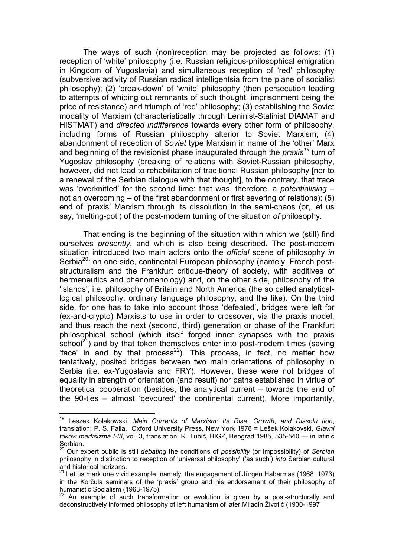The ways of such (non)reception may be projected as follows: (1) reception of 'white' philosophy (i.e. Russian religious-philosophical emigration in Kingdom of Yugoslavia) and simultaneous reception of 'red' philosophy (subversive activity of Russian radical intelligentsia from the plane of socialist philosophy); (2) 'break-down' of 'white' philosophy (then persecution leading to attempts of whiping out remnants of such thought, imprisonment being the price of resistance) and triumph of 'red' philosophy; (3) establishing the Soviet modality of Marxism (characteristically through Leninist-Stalinist DIAMAT and HISTMAT) and *directed indifference* towards every other form of philosophy, including forms of Russian philosophy alterior to Soviet Marxism; (4) abandonment of reception of *Soviet* type Marxism in name of the 'other' Marx and beginning of the revisionist phase inaugurated through the *praxis<sup>19</sup>* turn of Yugoslav philosophy (breaking of relations with Soviet-Russian philosophy, however, did not lead to rehabilitation of traditional Russian philosophy [nor to a renewal of the Serbian dialogue with that thought], to the contrary, that trace was 'overknitted' for the second time: that was, therefore, a *potentialising* – not an overcoming – of the first abandonment or first severing of relations); (5) end of 'praxis' Marxism through its dissolution in the semi-chaos (or, let us say, 'melting-pot') of the post-modern turning of the situation *of* philosophy.

That ending is the beginning of the situation within which we (still) find ourselves *presently*, and which is also being described. The post-modern situation introduced two main actors onto the *official* scene of philosophy *in*  Serbia<sup>20</sup>: on one side, continental European philosophy (namely, French poststructuralism and the Frankfurt critique-theory of society, with additives of hermeneutics and phenomenology) and, on the other side, philosophy of the 'islands', i.e. philosophy of Britain and North America (the so called analyticallogical philosophy, ordinary language philosophy, and the like). On the third side, for one has to take into account those 'defeated', bridges were left for (ex-and-crypto) Marxists to use in order to crossover, via the praxis model, and thus reach the next (second, third) generation or phase of the Frankfurt philosophical school (which itself forged inner synapses with the praxis  $school<sup>21</sup>$ ) and by that token themselves enter into post-modern times (saving 'face' in and by that process<sup>22</sup>). This process, in fact, no matter how tentatively, posited bridges between two main orientations of philosophy in Serbia (i.e. ex-Yugoslavia and FRY). However, these were not bridges of equality in strength of orientation (and result) nor paths established in virtue of theoretical cooperation (besides, the analytical current – towards the end of the 90-ties – almost 'devoured' the continental current). More importantly,

<sup>19</sup> Leszek Kolakowski, *Main Currents of Marxism: Its Rise*, *Growth*, *and Dissolu tion*, translation: P. S. Falla, Oxford University Press, New York 1978 = Lešek Kolakovski, *Glavni tokovi marksizma I*-*III*, vol, 3, translation: R. Tubić, BIGZ, Beograd 1985, 535-540 — in latinic Serbian.

<sup>20</sup> Our expert public is still *debating* the conditions of *possibility* (or impossibility) of *Serbian* philosophy in distinction to reception of 'universal philosophy' ('as such') *into* Serbian cultural and historical horizons.

 $21$  Let us mark one vivid example, namely, the engagement of Jürgen Habermas (1968, 1973) in the Korčula seminars of the 'praxis' group and his endorsement of their philosophy of humanistic Socialism (1963-1975).

<sup>&</sup>lt;sup>22</sup> An example of such transformation or evolution is given by a post-structurally and deconstructively informed philosophy of left humanism of later Miladin Životić (1930-1997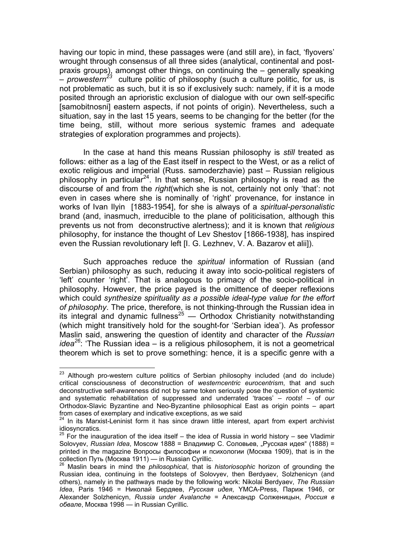having our topic in mind, these passages were (and still are), in fact, 'flyovers' wrought through consensus of all three sides (analytical, continental and postpraxis groups), amongst other things, on continuing the – generally speaking  $-$  *prowestern*<sup>23</sup> culture politic of philosophy (such a culture politic, for us, is not problematic as such, but it is so if exclusively such: namely, if it is a mode posited through an aprioristic exclusion of dialogue with our own self-specific [samobitnosni] eastern aspects, if not points of origin). Nevertheless, such a situation, say in the last 15 years, seems to be changing for the better (for the time being, still, without more serious systemic frames and adequate strategies of exploration programmes and projects).

In the case at hand this means Russian philosophy is *still* treated as follows: either as a lag of the East itself in respect to the West, or as a relict of exotic religious and imperial (Russ. samoderzhavie) past – Russian religious philosophy in particular<sup>24</sup>. In that sense, Russian philosophy is read as the discourse of and from the *right*(which she is not, certainly not only 'that': not even in cases where she is nominally of 'right' provenance, for instance in works of Ivan Ilyin [1883-1954], for she is always of a *spiritual-personalistic* brand (and, inasmuch, irreducible to the plane of politicisation, although this prevents us not from deconstructive alertness); and it is known that *religious* philosophy, for instance the thought of Lev Shestov [1866-1938], has inspired even the Russian revolutionary left [I. G. Lezhnev, V. A. Bazarov et alii]).

Such approaches reduce the *spiritual* information of Russian (and Serbian) philosophy as such, reducing it away into socio-political registers of 'left' counter 'right'. That is analogous to primacy of the socio-political in philosophy. However, the price payed is the omittence of deeper reflexions which could *synthesize spirituality as a possible ideal-type value for the effort of philosophy*. The price, therefore, is not thinking-through the Russian idea in its integral and dynamic fullness<sup>25</sup> — Orthodox Christianity notwithstanding (which might transitively hold for the sought-for 'Serbian idea'). As professor Maslin said, answering the question of identity and character of the *Russian idea<sup>26</sup>*: 'The Russian idea – is a religious philosophem, it is not a geometrical theorem which is set to prove something: hence, it is a specific genre with a

 $\overline{a}$  $23$  Although pro-western culture politics of Serbian philosophy included (and do include) critical consciousness of deconstruction of *westerncentric eurocentrism*, that and such deconstructive self-awareness did not by same token seriously pose the question of systemic and systematic rehabilitation of suppressed and underrated 'traces' – *roots*! – of *our* Orthodox-Slavic Byzantine and Neo-Byzantine philosophical East as origin points – apart from cases of exemplary and indicative exceptions, as we said

 $24$  In its Marxist-Leninist form it has since drawn little interest, apart from expert archivist idiosyncratics.

 $25$  For the inauguration of the idea itself – the idea of Russia in world history – see Vladimir Solovyev, *Russian Idea*, Moscow 1888 = Владимир С. Соловьев, "Русская идея" (1888) = printed in the magazine Вопросы философии и психологии (Москва 1909), that is in the collection Путь (Москва 1911) — in Russian Cyrillic.

<sup>&</sup>lt;sup>26</sup> Maslin bears in mind the *philosophical*, that is *historiosophic* horizon of grounding the Russian idea, continuing in the footsteps of Solovyev, then Berdyaev, Solzhenicyn (and others), namely in the pathways made by the following work: Nikolai Berdyaev, *The Russian Idea*, Paris 1946 = Николай Бердяев, *Русская идея*, YMCA-Press, Париж 1946, or Alexandеr Solzhenicyn, *Russia under Avalanche* = Александр Солженицын, *Россия в обвале*, Москва 1998 — in Russian Cyrillic.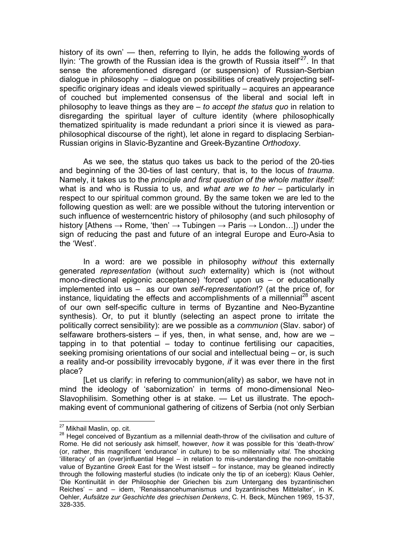history of its own' — then, referring to Ilyin, he adds the following words of Ilyin: 'The growth of the Russian idea is the growth of Russia itself<sup>27</sup>. In that sense the aforementioned disregard (or suspension) of Russian-Serbian dialogue in philosophy – dialogue on possibilities of creatively projecting selfspecific originary ideas and ideals viewed spiritually – acquires an appearance of couched but implemented consensus of the liberal and social left in philosophy to leave things as they are – *to accept the status quo* in relation to disregarding the spiritual layer of culture identity (where philosophically thematized spirituality is made redundant a priori since it is viewed as paraphilosophical discourse of the right), let alone in regard to displacing Serbian-Russian origins in Slavic-Byzantine and Greek-Byzantine *Orthodoxy*.

As we see, the status quo takes us back to the period of the 20-ties and beginning of the 30-ties of last century, that is, to the locus of *trauma*. Namely, it takes us to the *principle and first question of the whole matter itself:* what is and who is Russia to us, and *what are we to her* – particularly in respect to our spiritual common ground. By the same token we are led to the following question as well: are we possible without the tutoring intervention or such influence of westerncentric history of philosophy (and such philosophy of history [Athens  $\rightarrow$  Rome, 'then'  $\rightarrow$  Tubingen  $\rightarrow$  Paris  $\rightarrow$  London...]) under the sign of reducing the past and future of an integral Europe and Euro-Asia to the 'West'.

In a word: are we possible in philosophy *without* this externally generated *representation* (without *such* externality) which is (not without mono-directional epigonic acceptance) 'forced' upon us – or educationally implemented into us – as our own *self-representation*!? (at the price of, for instance, liquidating the effects and accomplishments of a millennial<sup>28</sup> ascent of our own self-specific culture in terms of Byzantine and Neo-Byzantine synthesis). Or, to put it bluntly (selecting an aspect prone to irritate the politically correct sensibility): are we possible as a *communion* (Slav. sabor) of selfaware brothers-sisters  $-$  if yes, then, in what sense, and, how are we  $$ tapping in to that potential – today to continue fertilising our capacities, seeking promising orientations of our social and intellectual being – or, is such a reality and-or possibility irrevocably bygone, *if* it was ever there in the first place?

[Let us clarify: in refering to communion(ality) as sabor, we have not in mind the ideology of 'sabornization' in terms of mono-dimensional Neo-Slavophilisim. Something other is at stake. — Let us illustrate. The epochmaking event of communional gathering of citizens of Serbia (not only Serbian

<sup>&</sup>lt;sup>27</sup> Mikhail Maslin, op. cit.

<sup>&</sup>lt;sup>28</sup> Hegel conceived of Byzantium as a millennial death-throw of the civilisation and culture of Rome. He did not seriously ask himself, however, *how* it was possible for this 'death-throw' (or, rather, this magnificent 'endurance' in culture) to be so millennially *vital*. The shocking 'illiteracy' of an (over)influential Hegel – in relation to mis-understanding the non-omittable value of Byzantine *Greek* East for the West istself – for instance, may be gleaned indirectly through the following masterful studies (to indicate only the tip of an iceberg): Klaus Oehler, 'Die Kontinuität in der Philosophie der Griechen bis zum Untergang des byzantinischen Reiches' – and – idem, 'Renaissancehumanismus und byzantinisches Mittelalter', in K. Oehler, *Aufsätze zur Geschichte des griechisen Denkens*, C. H. Beck, München 1969, 15-37, 328-335.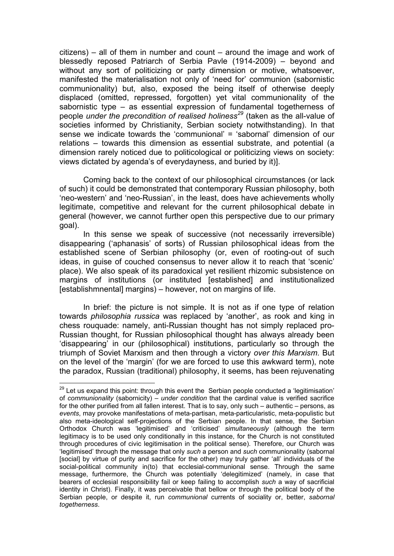citizens) – all of them in number and count – around the image and work of blessedly reposed Patriarch of Serbia Pavle (1914-2009) – beyond and without any sort of politicizing or party dimension or motive, whatsoever, manifested the materialisation not only of 'need for' communion (sabornistic communionality) but, also, exposed the being itself of otherwise deeply displaced (omitted, repressed, forgotten) yet vital communionality of the sabornistic type – as essential expression of fundamental togetherness of people *under the precondition of realised holiness<sup>29</sup>* (taken as the all-value of societies informed by Christianity, Serbian society notwithstanding). In that sense we indicate towards the 'communional' = 'sabornal' dimension of our relations – towards this dimension as essential substrate, and potential (a dimension rarely noticed due to politicological or politicizing views on society: views dictated by agenda's of everydayness, and buried by it)].

Coming back to the context of our philosophical circumstances (or lack of such) it could be demonstrated that contemporary Russian philosophy, both 'neo-western' and 'neo-Russian', in the least, does have achievements wholly legitimate, competitive and relevant for the current philosophical debate in general (however, we cannot further open this perspective due to our primary goal).

In this sense we speak of successive (not necessarily irreversible) disappearing ('aphanasis' of sorts) of Russian philosophical ideas from the established scene of Serbian philosophy (or, even of rooting-out of such ideas, in guise of couched consensus to never allow it to reach that 'scenic' place). We also speak of its paradoxical yet resilient rhizomic subsistence on margins of institutions (or instituted [established] and institutionalized [establishmnental] margins) – however, not on margins of life.

In brief: the picture is not simple. It is not as if one type of relation towards *philosophia russica* was replaced by 'another', as rook and king in chess rouquade: namely, anti-Russian thought has not simply replaced pro-Russian thought, for Russian philosophical thought has always already been 'disappearing' in our (philosophical) institutions, particularly so through the triumph of Soviet Marxism and then through a victory *over this Marxism*. But on the level of the 'margin' (for we are forced to use this awkward term), note the paradox, Russian (traditional) philosophy, it seems, has been rejuvenating

 $\overline{a}$  $29$  Let us expand this point: through this event the Serbian people conducted a 'legitimisation' of *communionality* (sabornicity) – *under condition* that the cardinal value is verified sacrifice for the other purified from all fallen interest. That is to say, only such – authentic – persons, as *events*, may provoke manifestations of meta-partisan, meta-particularistic, meta-populistic but also meta-ideological self-projections of the Serbian people. In that sense, the Serbian Orthodox Church was 'legitimised' and 'criticised' *simultaneously* (although the term legitimacy is to be used only conditionally in this instance, for the Church is not constituted through procedures of civic legitimisation in the political sense). Therefore, our Church was 'legitimised' through the message that only *such* a person and *such* communionality (sabornal [social] by virtue of purity and sacrifice for the other) may truly gather 'all' individuals of the social-political community in(to) that ecclesial-communional sense. Through the same message, furthermore, the Church was potentially 'delegitimized' (namely, in case that bearers of ecclesial responsibility fail or keep failing to accomplish *such* a way of sacrificial identity in Christ). Finally, it was perceivable that bellow or through the political body of the Serbian people, or despite it, run *communional* currents of sociality or, better, *sabornal togetherness*.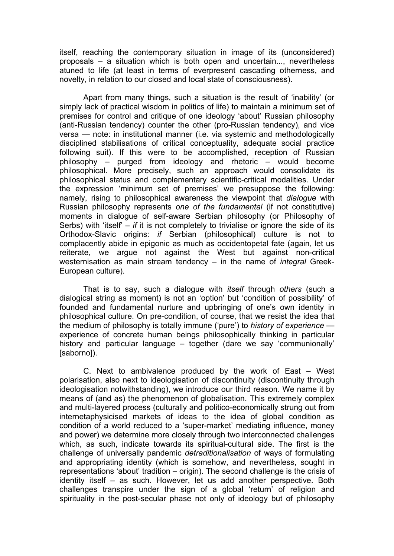itself, reaching the contemporary situation in image of its (unconsidered) proposals – a situation which is both open and uncertain..., nevertheless atuned to life (at least in terms of everpresent cascading otherness, and novelty, in relation to our closed and local state of consciousness).

Apart from many things, such a situation is the result of 'inability' (or simply lack of practical wisdom in politics of life) to maintain a minimum set of premises for control and critique of one ideology 'about' Russian philosophy (anti-Russian tendency) counter the other (pro-Russian tendency), and vice versa — note: in institutional manner (i.e. via systemic and methodologically disciplined stabilisations of critical conceptuality, adequate social practice following suit). If this were to be accomplished, reception of Russian philosophy – purged from ideology and rhetoric – would become philosophical. More precisely, such an approach would consolidate its philosophical status and complementary scientific-critical modalities. Under the expression 'minimum set of premises' we presuppose the following: namely, rising to philosophical awareness the viewpoint that *dialogue* with Russian philosophy represents *one of the fundamental* (if not constitutive) moments in dialogue of self-aware Serbian philosophy (or Philosophy of Serbs) with 'itself' – *if* it is not completely to trivialise or ignore the side of its Orthodox-Slavic origins: *if* Serbian (philosophical) culture is not to complacently abide in epigonic as much as occidentopetal fate (again, let us reiterate, we argue not against the West but against non-critical westernisation as main stream tendency – in the name of *integral* Greek-European culture).

That is to say, such a dialogue with *itself* through *others* (such a dialogical string as moment) is not an 'option' but 'condition of possibility' of founded and fundamental nurture and upbringing of one's own identity in philosophical culture. On pre-condition, of course, that we resist the idea that the medium of philosophy is totally immune ('pure') to *history of experience* experience of concrete human beings philosophically thinking in particular history and particular language – together (dare we say 'communionally' [saborno]).

C. Next to ambivalence produced by the work of East – West polarisation, also next to ideologisation of discontinuity (discontinuity through ideologisation notwithstanding), we introduce our third reason. We name it by means of (and as) the phenomenon of globalisation. This extremely complex and multi-layered process (culturally and politico-economically strung out from internetaphysicised markets of ideas to the idea of global condition as condition of a world reduced to a 'super-market' mediating influence, money and power) we determine more closely through two interconnected challenges which, as such, indicate towards its spiritual-cultural side. The first is the challenge of universally pandemic *detraditionalisation* of ways of formulating and appropriating identity (which is somehow, and nevertheless, sought in representations 'about' tradition – origin). The second challenge is the crisis of identity itself – as such. However, let us add another perspective. Both challenges transpire under the sign of a global 'return' of religion and spirituality in the post-secular phase not only of ideology but of philosophy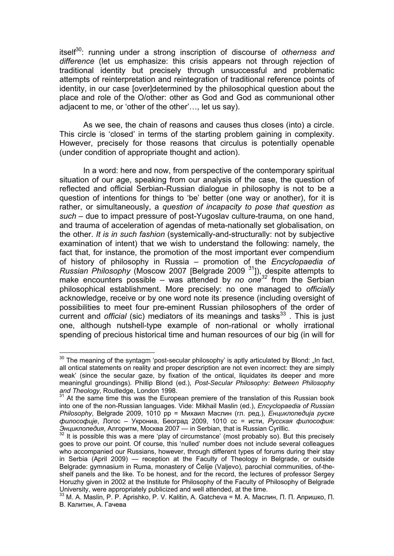itself<sup>30</sup>: running under a strong inscription of discourse of *otherness and difference* (let us emphasize: this crisis appears not through rejection of traditional identity but precisely through unsuccessful and problematic attempts of reinterpretation and reintegration of traditional reference points of identity, in our case [over]determined by the philosophical question about the place and role of the O/other: other as God and God as communional other adjacent to me, or 'other of the other'…, let us say).

As we see, the chain of reasons and causes thus closes (into) a circle. This circle is 'closed' in terms of the starting problem gaining in complexity. However, precisely for those reasons that circulus is potentially openable (under condition of appropriate thought and action).

In a word: here and now, from perspective of the contemporary spiritual situation of our age, speaking from our analysis of the case, the question of reflected and official Serbian-Russian dialogue in philosophy is not to be a question of intentions for things to 'be' better (one way or another), for it is rather, or simultaneously, a *question of incapacity to pose that question as such* – due to impact pressure of post-Yugoslav culture-trauma, on one hand, and trauma of acceleration of agendas of meta-nationally set globalisation, on the other. *It is in such fashion* (systemically-and-structurally: not by subjective examination of intent) that we wish to understand the following: namely, the fact that, for instance, the promotion of the most important ever compendium of history of philosophy in Russia – promotion of the *Encyclopaedia of Russian Philosophy* (Moscow 2007 [Belgrade 2009 31]), despite attempts to make encounters possible – was attended by *no one<sup>32</sup>* from the Serbian philosophical establishment. More precisely: no one managed to *officially* acknowledge, receive or by one word note its presence (including oversight of possibilities to meet four pre-eminent Russian philosophers of the order of current and *official* (sic) mediators of its meanings and tasks<sup>33</sup>. This is just one, although nutshell-type example of non-rational or wholly irrational spending of precious historical time and human resources of our big (in will for

 $30$  The meaning of the syntagm 'post-secular philosophy' is aptly articulated by Blond: "In fact, all ontical statements on reality and proper description are not even incorrect: they are simply weak' (since the secular gaze, by fixation of the ontical, liquidates its deeper and more meaningful groundings). Phillip Blond (ed.), *Post*-*Secular Philosophy: Between Philosophy* 

At the same time this was the European premiere of the translation of this Russian book into one of the non-Russian languages. Vide: Mikhail Maslin (ed.), *Encyclopaedia of Russian Philosophy*, Belgrade 2009, 1010 pp = Михаил Маслин (гл. ред.), *Енциклопедија руске философије*, Логос – Укрониа, Београд 2009, 1010 сс = исти, *Русская философия: Энциклопедия*, Алгоритм, Москва 2007 — in Serbian, that is Russian Cyrillic. 32 It is possible this was a mere 'play of circumstance' (most probably so). But this precisely

goes to prove our point. Of course, this 'nulled' number does not include several colleagues who accompanied our Russians, however, through different types of forums during their stay in Serbia (April 2009) — reception at the Faculty of Theology in Belgrade, or outside Belgrade: gymnasium in Ruma, monastery of Ćelije (Valjevo), parochial communities, of-theshelf panels and the like. To be honest, and for the record, the lectures of professor Sergey Horuzhy given in 2002 at the Institute for Philosophy of the Faculty of Philosophy of Belgrade University, were appropriately publicized and well attended, at the time.

<sup>33</sup> M. A. Maslin, P. P. Aprishko, P. V. Kalitin, A. Gatcheva = М. А. Маслин, П. П. Апришко, П. В. Калитин, А. Гачева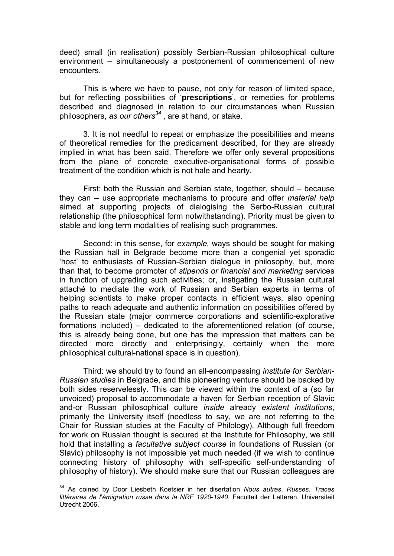deed) small (in realisation) possibly Serbian-Russian philosophical culture environment – simultaneously a postponement of commencement of new encounters.

This is where we have to pause, not only for reason of limited space, but for reflecting possibilities of '**prescriptions**', or remedies for problems described and diagnosed in relation to оur circumstances when Russian philosophers, *as our others34* , are at hand, or stake.

3. It is not needful to repeat or emphasize the possibilities and means of theoretical remedies for the predicament described, for they are already implied in what has been said. Therefore we offer only several propositions from the plane of concrete executive-organisational forms of possible treatment of the condition which is not hale and hearty.

First: both the Russian and Serbian state, together, should – because they can – use appropriate mechanisms to procure and offer *material help* aimed at supporting projects of dialogising the Serbo-Russian cultural relationship (the philosophical form notwithstanding). Priority must be given to stable and long term modalities of realising such programmes.

Second: in this sense, for *example,* ways should be sought for making the Russian hall in Belgrade become more than a congenial yet sporadic 'host' to enthusiasts of Russian-Serbian dialogue in philosophy, but, more than that, to become promoter of *stipends or financial and marketing* services in function of upgrading such activities; or, instigating the Russian cultural attaché to mediate the work of Russian and Serbian experts in terms of helping scientists to make proper contacts in efficient ways, also opening paths to reach adequate and authentic information on possibilities offered by the Russian state (major commerce corporations and scientific-explorative formations included) – dedicated to the aforementioned relation (of course, this is already being done, but one has the impression that matters can be directed more directly and enterprisingly, certainly when the more philosophical cultural-national space is in question).

Third: we should try to found an all-encompassing *institute for Serbian-Russian studies* in Belgrade, and this pioneering venture should be backed by both sides reservelessly. This can be viewed within the context of a (so far unvoiced) proposal to accommodate a haven for Serbian reception of Slavic and-or Russian philosophical culture *inside* already *existent institutions*, primarily the University itself (needless to say, we are not referring to the Chair for Russian studies at the Faculty of Philology). Although full freedom for work on Russian thought is secured at the Institute for Philosophy, we still hold that installing a *facultative subject course* in foundations of Russian (or Slavic) philosophy is not impossible yet much needed (if we wish to continue connecting history of philosophy with self-specific self-understanding of philosophy of history). We should make sure that our Russian colleagues are

<sup>34</sup> As coined by Door Liesbeth Koetsier in her disertation *Nous autres*, *Russes*. *Traces littéraires de l*'*émigration russe dans la NRF 1920*-*1940*, Faculteit der Letteren, Universiteit Utrecht 2006.